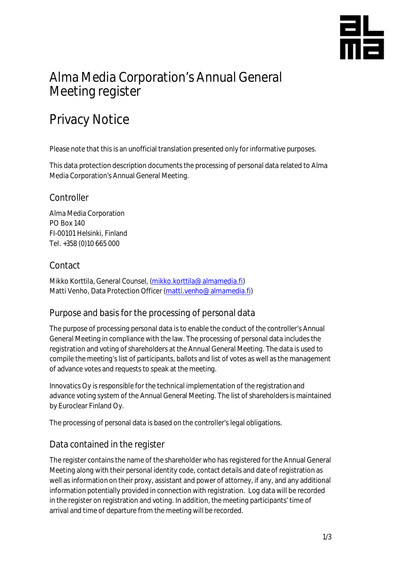

## Alma Media Corporation's Annual General Meeting register

# Privacy Notice

Please note that this is an unofficial translation presented only for informative purposes.

This data protection description documents the processing of personal data related to Alma Media Corporation's Annual General Meeting.

#### **Controller**

Alma Media Corporation PO Box 140 FI-00101 Helsinki, Finland Tel. +358 (0)10 665 000

### Contact

Mikko Korttila, General Counsel, [\(mikko.korttila@almamedia.fi](mailto:mikko.korttila@almamedia.fi)) Matti Venho, Data Protection Officer [\(matti.venho@almamedia.fi](mailto:matti.venho@almamedia.fi))

## Purpose and basis for the processing of personal data

The purpose of processing personal data is to enable the conduct of the controller's Annual General Meeting in compliance with the law. The processing of personal data includes the registration and voting of shareholders at the Annual General Meeting. The data is used to compile the meeting's list of participants, ballots and list of votes as well as the management of advance votes and requests to speak at the meeting.

Innovatics Oy is responsible for the technical implementation of the registration and advance voting system of the Annual General Meeting. The list of shareholders is maintained by Euroclear Finland Oy.

The processing of personal data is based on the controller's legal obligations.

## Data contained in the register

The register contains the name of the shareholder who has registered for the Annual General Meeting along with their personal identity code, contact details and date of registration as well as information on their proxy, assistant and power of attorney, if any, and any additional information potentially provided in connection with registration. Log data will be recorded in the register on registration and voting. In addition, the meeting participants' time of arrival and time of departure from the meeting will be recorded.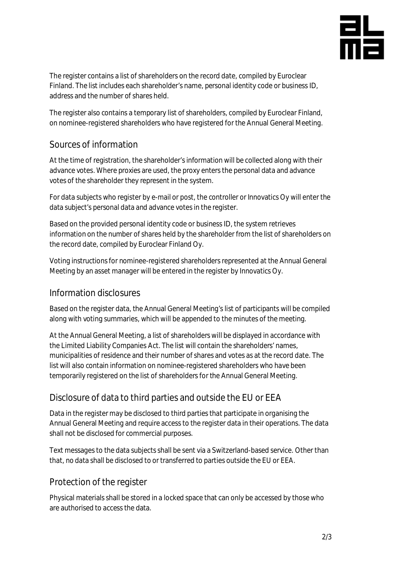

The register contains a list of shareholders on the record date, compiled by Euroclear Finland. The list includes each shareholder's name, personal identity code or business ID, address and the number of shares held.

The register also contains a temporary list of shareholders, compiled by Euroclear Finland, on nominee-registered shareholders who have registered for the Annual General Meeting.

## Sources of information

At the time of registration, the shareholder's information will be collected along with their advance votes. Where proxies are used, the proxy enters the personal data and advance votes of the shareholder they represent in the system.

For data subjects who register by e-mail or post, the controller or Innovatics Oy will enter the data subject's personal data and advance votes in the register.

Based on the provided personal identity code or business ID, the system retrieves information on the number of shares held by the shareholder from the list of shareholders on the record date, compiled by Euroclear Finland Oy.

Voting instructions for nominee-registered shareholders represented at the Annual General Meeting by an asset manager will be entered in the register by Innovatics Oy.

#### Information disclosures

Based on the register data, the Annual General Meeting's list of participants will be compiled along with voting summaries, which will be appended to the minutes of the meeting.

At the Annual General Meeting, a list of shareholders will be displayed in accordance with the Limited Liability Companies Act. The list will contain the shareholders' names, municipalities of residence and their number of shares and votes as at the record date. The list will also contain information on nominee-registered shareholders who have been temporarily registered on the list of shareholders for the Annual General Meeting.

## Disclosure of data to third parties and outside the EU or EEA

Data in the register may be disclosed to third parties that participate in organising the Annual General Meeting and require access to the register data in their operations. The data shall not be disclosed for commercial purposes.

Text messages to the data subjects shall be sent via a Switzerland-based service. Other than that, no data shall be disclosed to or transferred to parties outside the EU or EEA.

## Protection of the register

Physical materials shall be stored in a locked space that can only be accessed by those who are authorised to access the data.